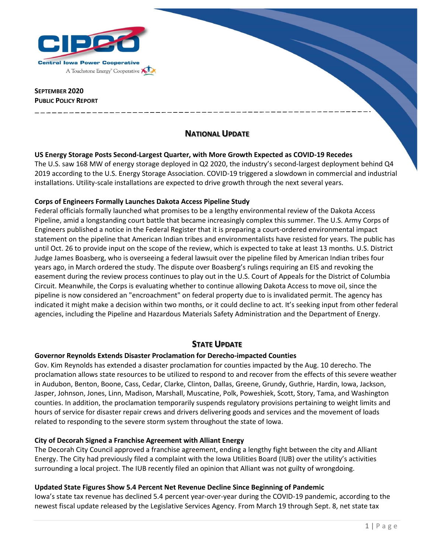

## **SEPTEMBER 2020 PUBLIC POLICY REPORT**

# **NATIONAL UPDATE**

## **US Energy Storage Posts Second-Largest Quarter, with More Growth Expected as COVID-19 Recedes**

The U.S. saw 168 MW of energy storage deployed in Q2 2020, the industry's second-largest deployment behind Q4 2019 according to the U.S. Energy Storage Association. COVID-19 triggered a slowdown in commercial and industrial installations. Utility-scale installations are expected to drive growth through the next several years.

## **Corps of Engineers Formally Launches Dakota Access Pipeline Study**

Federal officials formally launched what promises to be a lengthy environmental review of the Dakota Access Pipeline, amid a longstanding court battle that became increasingly complex this summer. The U.S. Army Corps of Engineers published a notice in the Federal Register that it is preparing a court-ordered environmental impact statement on the pipeline that American Indian tribes and environmentalists have resisted for years. The public has until Oct. 26 to provide input on the scope of the review, which is expected to take at least 13 months. U.S. District Judge James Boasberg, who is overseeing a federal lawsuit over the pipeline filed by American Indian tribes four years ago, in March ordered the study. The dispute over Boasberg's rulings requiring an EIS and revoking the easement during the review process continues to play out in the U.S. Court of Appeals for the District of Columbia Circuit. Meanwhile, the Corps is evaluating whether to continue allowing Dakota Access to move oil, since the pipeline is now considered an "encroachment" on federal property due to is invalidated permit. The agency has indicated it might make a decision within two months, or it could decline to act. It's seeking input from other federal agencies, including the Pipeline and Hazardous Materials Safety Administration and the Department of Energy.

## **STATE UPDATE**

## **Governor Reynolds Extends Disaster Proclamation for Derecho-impacted Counties**

Gov. Kim Reynolds has extended a disaster proclamation for counties impacted by the Aug. 10 derecho. The proclamation allows state resources to be utilized to respond to and recover from the effects of this severe weather in Audubon, Benton, Boone, Cass, Cedar, Clarke, Clinton, Dallas, Greene, Grundy, Guthrie, Hardin, Iowa, Jackson, Jasper, Johnson, Jones, Linn, Madison, Marshall, Muscatine, Polk, Poweshiek, Scott, Story, Tama, and Washington counties. In addition, the proclamation temporarily suspends regulatory provisions pertaining to weight limits and hours of service for disaster repair crews and drivers delivering goods and services and the movement of loads related to responding to the severe storm system throughout the state of Iowa.

## **City of Decorah Signed a Franchise Agreement with Alliant Energy**

The Decorah City Council approved a franchise agreement, ending a lengthy fight between the city and Alliant Energy. The City had previously filed a complaint with the Iowa Utilities Board (IUB) over the utility's activities surrounding a local project. The IUB recently filed an opinion that Alliant was not guilty of wrongdoing.

## **Updated State Figures Show 5.4 Percent Net Revenue Decline Since Beginning of Pandemic**

Iowa's state tax revenue has declined 5.4 percent year-over-year during the COVID-19 pandemic, according to the newest fiscal update released by the Legislative Services Agency. From March 19 through Sept. 8, net state tax